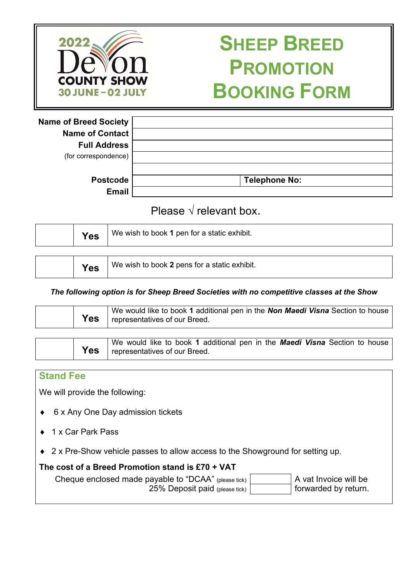

# **SHEEP BREED PROMOTION BOOKING FORM**

| <b>Name of Breed Society</b> |                      |
|------------------------------|----------------------|
| <b>Name of Contact</b>       |                      |
| <b>Full Address</b>          |                      |
| (for correspondence)         |                      |
|                              |                      |
| <b>Postcode</b>              | <b>Telephone No:</b> |
| <b>Email</b>                 |                      |

# Please  $\sqrt{}$  relevant box.

| We wish to book 1 pen for a static exhibit.<br>Yes |            |                                              |
|----------------------------------------------------|------------|----------------------------------------------|
|                                                    |            |                                              |
|                                                    | <b>Yes</b> | We wish to book 2 pens for a static exhibit. |

# *The following option is for Sheep Breed Societies with no competitive classes at the Show*

| <b>Yes</b> | We would like to book 1 additional pen in the Non Maedi Visna Section to house<br>representatives of our Breed. |
|------------|-----------------------------------------------------------------------------------------------------------------|
|            |                                                                                                                 |

|  |     | We would like to book 1 additional pen in the <b>Maedi Visna</b> Section to house |
|--|-----|-----------------------------------------------------------------------------------|
|  | Yes | representatives of our Breed.                                                     |

## **Stand Fee**

We will provide the following:

- ♦ 6 x Any One Day admission tickets
- 1 x Car Park Pass
- ♦ 2 x Pre-Show vehicle passes to allow access to the Showground for setting up.

## **The cost of a Breed Promotion stand is £70 + VAT**

Cheque enclosed made payable to "DCAA" (please tick) 25% Deposit paid (please tick)

A vat Invoice will be forwarded by return.